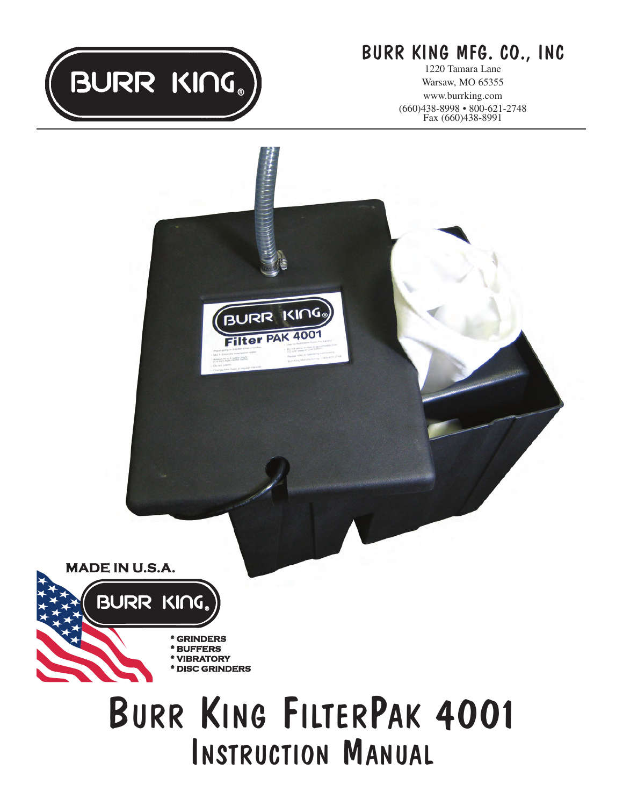

# BURR KING MFG. CO., INC

1220 Tamara Lane Warsaw, MO 65355 www.burrking.com (660)438-8998 • 800-621-2748 Fax (660)438-8991

**MADE IN U.S.A.** 

BURR KING.

\* GRINDERS \* BUFFERS \* VIBRATORY **DISC GRINDERS** 

# BURR KING FILTERPAK 4001 INSTRUCTION MANUAL

BURR KING

Filter PAK 4001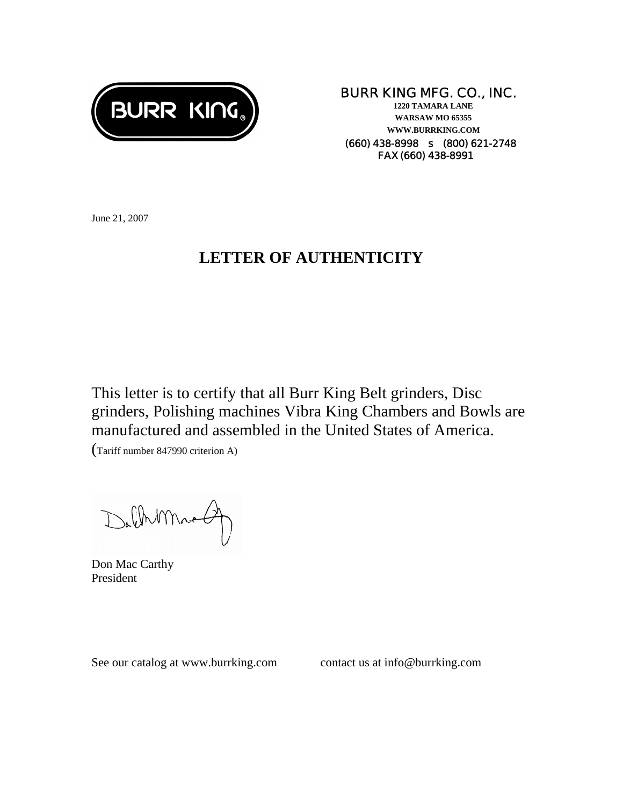

## **BURR KING MFG. CO., INC.**

**1220 TAMARA LANE WARSAW MO 65355 WWW.BURRKING.COM (660) 438-8998** s **(800) 621-2748 FAX (660) 438-8991**

June 21, 2007

## **LETTER OF AUTHENTICITY**

This letter is to certify that all Burr King Belt grinders, Disc grinders, Polishing machines Vibra King Chambers and Bowls are manufactured and assembled in the United States of America.

(Tariff number 847990 criterion A)

DalhMna

Don Mac Carthy President

See our catalog at www.burrking.com contact us at info@burrking.com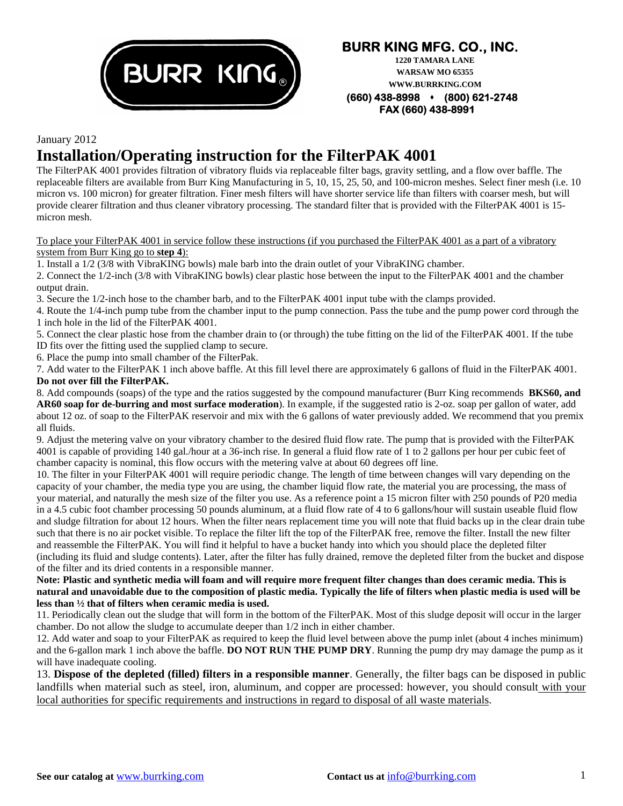

## **BURR KING MFG. CO., INC.**

**1220 TAMARA LANE WARSAW MO 65355 WWW.BURRKING.COM** 

**(660) 438-8998 (800) 621-2748 FAX (660) 438-8991**

#### January 2012

## **Installation/Operating instruction for the FilterPAK 4001**

The FilterPAK 4001 provides filtration of vibratory fluids via replaceable filter bags, gravity settling, and a flow over baffle. The replaceable filters are available from Burr King Manufacturing in 5, 10, 15, 25, 50, and 100-micron meshes. Select finer mesh (i.e. 10 micron vs. 100 micron) for greater filtration. Finer mesh filters will have shorter service life than filters with coarser mesh, but will provide clearer filtration and thus cleaner vibratory processing. The standard filter that is provided with the FilterPAK 4001 is 15 micron mesh.

#### To place your FilterPAK 4001 in service follow these instructions (if you purchased the FilterPAK 4001 as a part of a vibratory system from Burr King go to **step 4**):

1. Install a 1/2 (3/8 with VibraKING bowls) male barb into the drain outlet of your VibraKING chamber.

2. Connect the 1/2-inch (3/8 with VibraKING bowls) clear plastic hose between the input to the FilterPAK 4001 and the chamber output drain.

3. Secure the 1/2-inch hose to the chamber barb, and to the FilterPAK 4001 input tube with the clamps provided.

4. Route the 1/4-inch pump tube from the chamber input to the pump connection. Pass the tube and the pump power cord through the 1 inch hole in the lid of the FilterPAK 4001.

5. Connect the clear plastic hose from the chamber drain to (or through) the tube fitting on the lid of the FilterPAK 4001. If the tube ID fits over the fitting used the supplied clamp to secure.

6. Place the pump into small chamber of the FilterPak.

7. Add water to the FilterPAK 1 inch above baffle. At this fill level there are approximately 6 gallons of fluid in the FilterPAK 4001. **Do not over fill the FilterPAK.**

8. Add compounds (soaps) of the type and the ratios suggested by the compound manufacturer (Burr King recommends **BKS60, and AR60 soap for de-burring and most surface moderation**). In example, if the suggested ratio is 2-oz. soap per gallon of water, add about 12 oz. of soap to the FilterPAK reservoir and mix with the 6 gallons of water previously added. We recommend that you premix all fluids.

9. Adjust the metering valve on your vibratory chamber to the desired fluid flow rate. The pump that is provided with the FilterPAK 4001 is capable of providing 140 gal./hour at a 36-inch rise. In general a fluid flow rate of 1 to 2 gallons per hour per cubic feet of chamber capacity is nominal, this flow occurs with the metering valve at about 60 degrees off line.

10. The filter in your FilterPAK 4001 will require periodic change. The length of time between changes will vary depending on the capacity of your chamber, the media type you are using, the chamber liquid flow rate, the material you are processing, the mass of your material, and naturally the mesh size of the filter you use. As a reference point a 15 micron filter with 250 pounds of P20 media in a 4.5 cubic foot chamber processing 50 pounds aluminum, at a fluid flow rate of 4 to 6 gallons/hour will sustain useable fluid flow and sludge filtration for about 12 hours. When the filter nears replacement time you will note that fluid backs up in the clear drain tube such that there is no air pocket visible. To replace the filter lift the top of the FilterPAK free, remove the filter. Install the new filter and reassemble the FilterPAK. You will find it helpful to have a bucket handy into which you should place the depleted filter (including its fluid and sludge contents). Later, after the filter has fully drained, remove the depleted filter from the bucket and dispose of the filter and its dried contents in a responsible manner.

#### **Note: Plastic and synthetic media will foam and will require more frequent filter changes than does ceramic media. This is natural and unavoidable due to the composition of plastic media. Typically the life of filters when plastic media is used will be less than ½ that of filters when ceramic media is used.**

11. Periodically clean out the sludge that will form in the bottom of the FilterPAK. Most of this sludge deposit will occur in the larger chamber. Do not allow the sludge to accumulate deeper than 1/2 inch in either chamber.

12. Add water and soap to your FilterPAK as required to keep the fluid level between above the pump inlet (about 4 inches minimum) and the 6-gallon mark 1 inch above the baffle. **DO NOT RUN THE PUMP DRY**. Running the pump dry may damage the pump as it will have inadequate cooling.

13. **Dispose of the depleted (filled) filters in a responsible manner**. Generally, the filter bags can be disposed in public landfills when material such as steel, iron, aluminum, and copper are processed: however, you should consult with your local authorities for specific requirements and instructions in regard to disposal of all waste materials.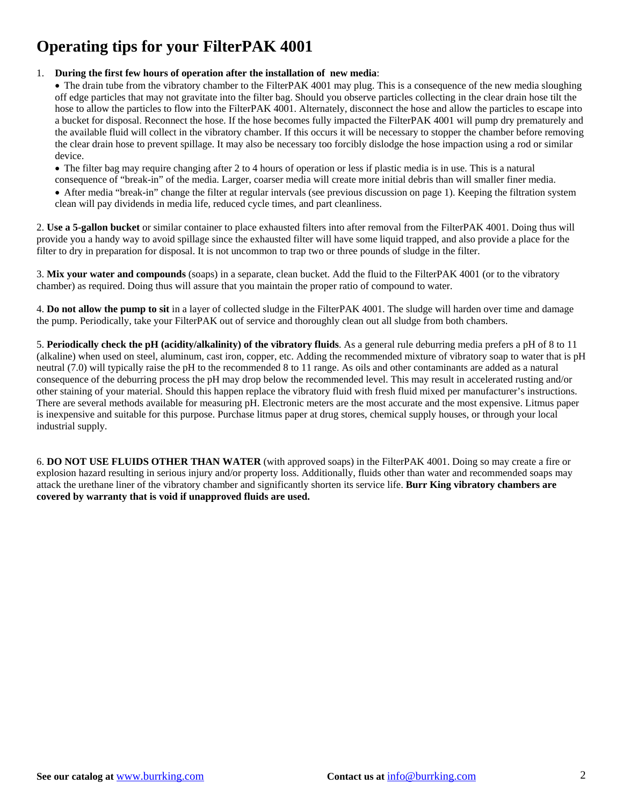## **Operating tips for your FilterPAK 4001**

#### 1. **During the first few hours of operation after the installation of new media**:

• The drain tube from the vibratory chamber to the FilterPAK 4001 may plug. This is a consequence of the new media sloughing off edge particles that may not gravitate into the filter bag. Should you observe particles collecting in the clear drain hose tilt the hose to allow the particles to flow into the FilterPAK 4001. Alternately, disconnect the hose and allow the particles to escape into a bucket for disposal. Reconnect the hose. If the hose becomes fully impacted the FilterPAK 4001 will pump dry prematurely and the available fluid will collect in the vibratory chamber. If this occurs it will be necessary to stopper the chamber before removing the clear drain hose to prevent spillage. It may also be necessary too forcibly dislodge the hose impaction using a rod or similar device.

• The filter bag may require changing after 2 to 4 hours of operation or less if plastic media is in use. This is a natural

consequence of "break-in" of the media. Larger, coarser media will create more initial debris than will smaller finer media.

• After media "break-in" change the filter at regular intervals (see previous discussion on page 1). Keeping the filtration system clean will pay dividends in media life, reduced cycle times, and part cleanliness.

2. **Use a 5-gallon bucket** or similar container to place exhausted filters into after removal from the FilterPAK 4001. Doing thus will provide you a handy way to avoid spillage since the exhausted filter will have some liquid trapped, and also provide a place for the filter to dry in preparation for disposal. It is not uncommon to trap two or three pounds of sludge in the filter.

3. **Mix your water and compounds** (soaps) in a separate, clean bucket. Add the fluid to the FilterPAK 4001 (or to the vibratory chamber) as required. Doing thus will assure that you maintain the proper ratio of compound to water.

4. **Do not allow the pump to sit** in a layer of collected sludge in the FilterPAK 4001. The sludge will harden over time and damage the pump. Periodically, take your FilterPAK out of service and thoroughly clean out all sludge from both chambers.

5. **Periodically check the pH (acidity/alkalinity) of the vibratory fluids**. As a general rule deburring media prefers a pH of 8 to 11 (alkaline) when used on steel, aluminum, cast iron, copper, etc. Adding the recommended mixture of vibratory soap to water that is pH neutral (7.0) will typically raise the pH to the recommended 8 to 11 range. As oils and other contaminants are added as a natural consequence of the deburring process the pH may drop below the recommended level. This may result in accelerated rusting and/or other staining of your material. Should this happen replace the vibratory fluid with fresh fluid mixed per manufacturer's instructions. There are several methods available for measuring pH. Electronic meters are the most accurate and the most expensive. Litmus paper is inexpensive and suitable for this purpose. Purchase litmus paper at drug stores, chemical supply houses, or through your local industrial supply.

6. **DO NOT USE FLUIDS OTHER THAN WATER** (with approved soaps) in the FilterPAK 4001. Doing so may create a fire or explosion hazard resulting in serious injury and/or property loss. Additionally, fluids other than water and recommended soaps may attack the urethane liner of the vibratory chamber and significantly shorten its service life. **Burr King vibratory chambers are covered by warranty that is void if unapproved fluids are used.**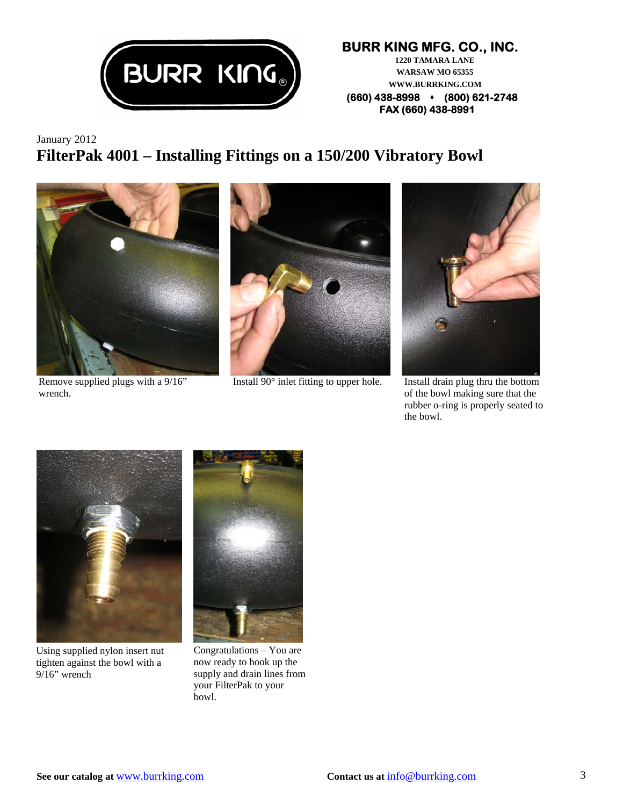

#### **BURR KING MFG. CO., INC. 1220 TAMARA LANE WARSAW MO 65355 WWW.BURRKING.COM (660) 438-8998 (800) 621-2748 FAX (660) 438-8991**

January 2012 **FilterPak 4001 – Installing Fittings on a 150/200 Vibratory Bowl** 



Remove supplied plugs with a 9/16" wrench.



Install 90° inlet fitting to upper hole. Install drain plug thru the bottom



of the bowl making sure that the rubber o-ring is properly seated to the bowl.



Using supplied nylon insert nut tighten against the bowl with a 9/16" wrench



Congratulations – You are now ready to hook up the supply and drain lines from your FilterPak to your bowl.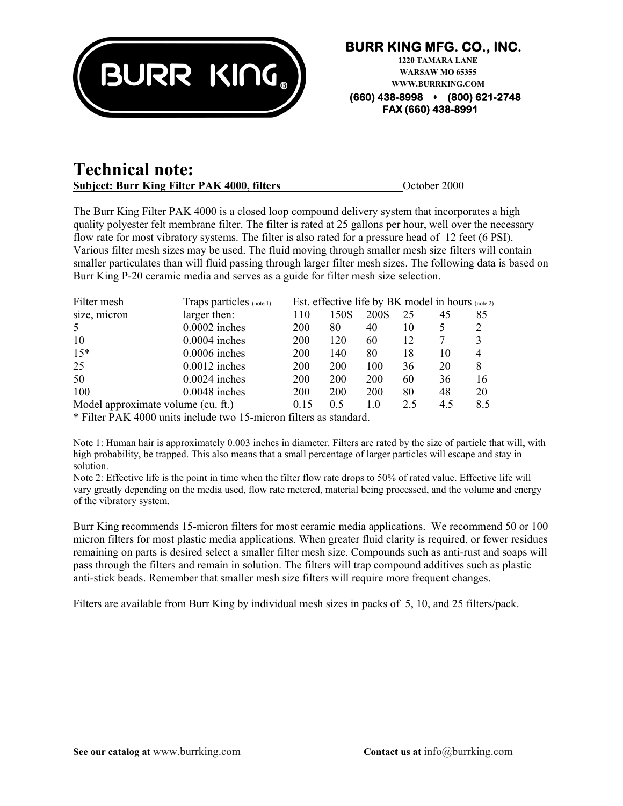

### **Technical note: Subject: Burr King Filter PAK 4000, filters**  $\qquad \qquad$  October 2000

The Burr King Filter PAK 4000 is a closed loop compound delivery system that incorporates a high quality polyester felt membrane filter. The filter is rated at 25 gallons per hour, well over the necessary flow rate for most vibratory systems. The filter is also rated for a pressure head of 12 feet (6 PSI). Various filter mesh sizes may be used. The fluid moving through smaller mesh size filters will contain smaller particulates than will fluid passing through larger filter mesh sizes. The following data is based on Burr King P-20 ceramic media and serves as a guide for filter mesh size selection.

| Filter mesh                        | Traps particles (note 1) | Est. effective life by BK model in hours (note 2) |      |      |     |     |     |
|------------------------------------|--------------------------|---------------------------------------------------|------|------|-----|-----|-----|
| size, micron                       | larger then:             | 110                                               | 150S | 200S | 25  | 45  | 85  |
| 5                                  | $0.0002$ inches          | 200                                               | 80   | 40   | 10  |     |     |
| 10                                 | $0.0004$ inches          | <b>200</b>                                        | 120  | 60   | 12  |     | 3   |
| $15*$                              | $0.0006$ inches          | <b>200</b>                                        | 140  | 80   | 18  | 10  | 4   |
| 25                                 | $0.0012$ inches          | <b>200</b>                                        | 200  | 100  | 36  | 20  | 8   |
| 50                                 | $0.0024$ inches          | <b>200</b>                                        | 200  | 200  | 60  | 36  | 16  |
| 100                                | $0.0048$ inches          | 200                                               | 200  | 200  | 80  | 48  | 20  |
| Model approximate volume (cu. ft.) |                          | 0.15                                              | 0.5  | 1.0  | 2.5 | 4.5 | 8.5 |
|                                    |                          |                                                   |      |      |     |     |     |

\* Filter PAK 4000 units include two 15-micron filters as standard.

Note 1: Human hair is approximately 0.003 inches in diameter. Filters are rated by the size of particle that will, with high probability, be trapped. This also means that a small percentage of larger particles will escape and stay in solution.

Note 2: Effective life is the point in time when the filter flow rate drops to 50% of rated value. Effective life will vary greatly depending on the media used, flow rate metered, material being processed, and the volume and energy of the vibratory system.

Burr King recommends 15-micron filters for most ceramic media applications. We recommend 50 or 100 micron filters for most plastic media applications. When greater fluid clarity is required, or fewer residues remaining on parts is desired select a smaller filter mesh size. Compounds such as anti-rust and soaps will pass through the filters and remain in solution. The filters will trap compound additives such as plastic anti-stick beads. Remember that smaller mesh size filters will require more frequent changes.

Filters are available from Burr King by individual mesh sizes in packs of 5, 10, and 25 filters/pack.